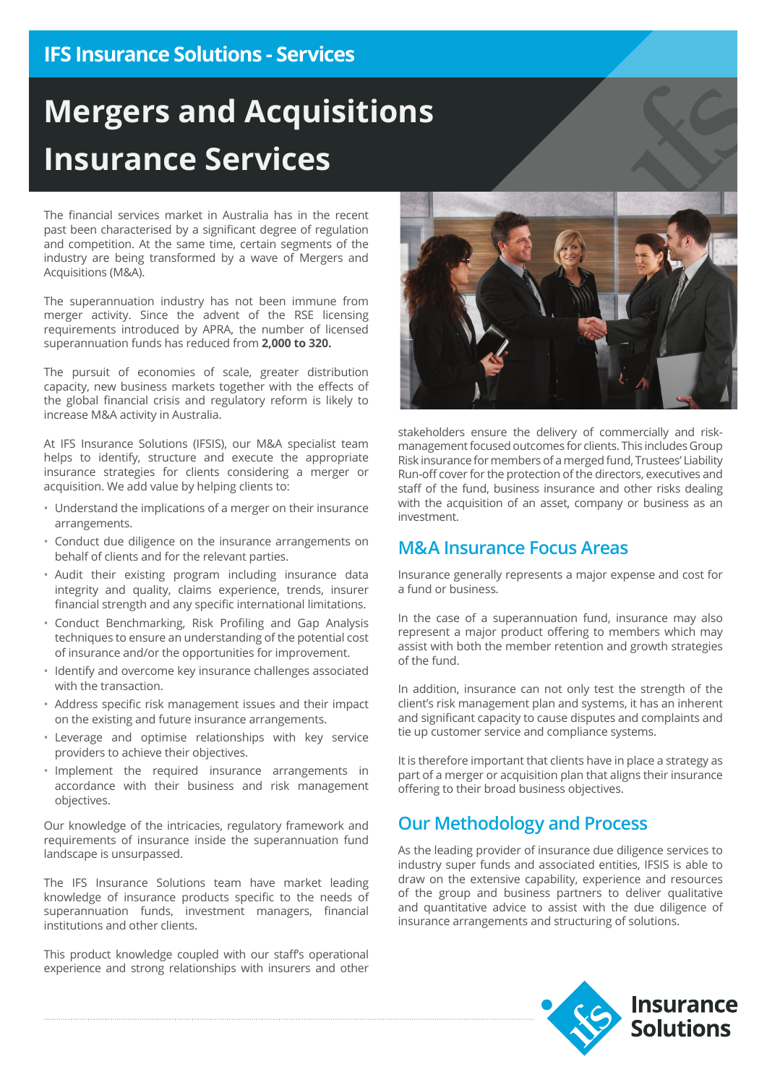## **IFS Insurance Solutions - Services**

# **Mergers and Acquisitions Insurance Services**

The financial services market in Australia has in the recent past been characterised by a significant degree of regulation and competition. At the same time, certain segments of the industry are being transformed by a wave of Mergers and Acquisitions (M&A).

The superannuation industry has not been immune from merger activity. Since the advent of the RSE licensing requirements introduced by APRA, the number of licensed superannuation funds has reduced from **2,000 to 320.**

The pursuit of economies of scale, greater distribution capacity, new business markets together with the effects of the global financial crisis and regulatory reform is likely to increase M&A activity in Australia.

At IFS Insurance Solutions (IFSIS), our M&A specialist team helps to identify, structure and execute the appropriate insurance strategies for clients considering a merger or acquisition. We add value by helping clients to:

- Understand the implications of a merger on their insurance arrangements.
- Conduct due diligence on the insurance arrangements on behalf of clients and for the relevant parties.
- Audit their existing program including insurance data integrity and quality, claims experience, trends, insurer financial strength and any specific international limitations.
- Conduct Benchmarking, Risk Profiling and Gap Analysis techniques to ensure an understanding of the potential cost of insurance and/or the opportunities for improvement.
- Identify and overcome key insurance challenges associated with the transaction.
- Address specific risk management issues and their impact on the existing and future insurance arrangements.
- Leverage and optimise relationships with key service providers to achieve their objectives.
- Implement the required insurance arrangements in accordance with their business and risk management objectives.

Our knowledge of the intricacies, regulatory framework and requirements of insurance inside the superannuation fund landscape is unsurpassed.

The IFS Insurance Solutions team have market leading knowledge of insurance products specific to the needs of superannuation funds, investment managers, financial institutions and other clients.

This product knowledge coupled with our staff's operational experience and strong relationships with insurers and other



stakeholders ensure the delivery of commercially and riskmanagement focused outcomes for clients. This includes Group Risk insurance for members of a merged fund, Trustees' Liability Run-off cover for the protection of the directors, executives and staff of the fund, business insurance and other risks dealing with the acquisition of an asset, company or business as an investment.

### **M&A Insurance Focus Areas**

Insurance generally represents a major expense and cost for a fund or business.

In the case of a superannuation fund, insurance may also represent a major product offering to members which may assist with both the member retention and growth strategies of the fund.

In addition, insurance can not only test the strength of the client's risk management plan and systems, it has an inherent and significant capacity to cause disputes and complaints and tie up customer service and compliance systems.

It is therefore important that clients have in place a strategy as part of a merger or acquisition plan that aligns their insurance offering to their broad business objectives.

### **Our Methodology and Process**

As the leading provider of insurance due diligence services to industry super funds and associated entities, IFSIS is able to draw on the extensive capability, experience and resources of the group and business partners to deliver qualitative and quantitative advice to assist with the due diligence of insurance arrangements and structuring of solutions.